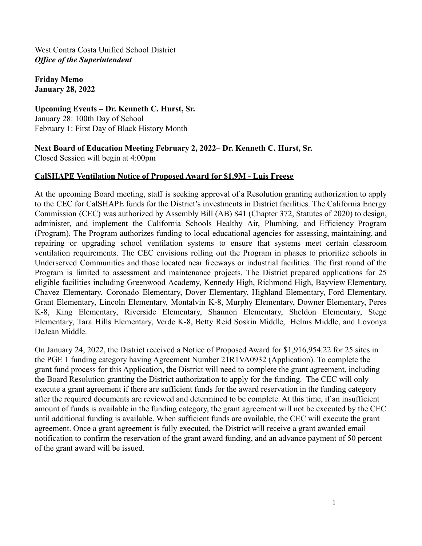**Friday Memo January 28, 2022**

**Upcoming Events – Dr. Kenneth C. Hurst, Sr.** January 28: 100th Day of School February 1: First Day of Black History Month

**Next Board of Education Meeting February 2, 2022– Dr. Kenneth C. Hurst, Sr.** Closed Session will begin at 4:00pm

#### **CalSHAPE Ventilation Notice of Proposed Award for \$1.9M - Luis Freese**

At the upcoming Board meeting, staff is seeking approval of a Resolution granting authorization to apply to the CEC for CalSHAPE funds for the District's investments in District facilities. The California Energy Commission (CEC) was authorized by Assembly Bill (AB) 841 (Chapter 372, Statutes of 2020) to design, administer, and implement the California Schools Healthy Air, Plumbing, and Efficiency Program (Program). The Program authorizes funding to local educational agencies for assessing, maintaining, and repairing or upgrading school ventilation systems to ensure that systems meet certain classroom ventilation requirements. The CEC envisions rolling out the Program in phases to prioritize schools in Underserved Communities and those located near freeways or industrial facilities. The first round of the Program is limited to assessment and maintenance projects. The District prepared applications for 25 eligible facilities including Greenwood Academy, Kennedy High, Richmond High, Bayview Elementary, Chavez Elementary, Coronado Elementary, Dover Elementary, Highland Elementary, Ford Elementary, Grant Elementary, Lincoln Elementary, Montalvin K-8, Murphy Elementary, Downer Elementary, Peres K-8, King Elementary, Riverside Elementary, Shannon Elementary, Sheldon Elementary, Stege Elementary, Tara Hills Elementary, Verde K-8, Betty Reid Soskin Middle, Helms Middle, and Lovonya DeJean Middle.

On January 24, 2022, the District received a Notice of Proposed Award for \$1,916,954.22 for 25 sites in the PGE 1 funding category having Agreement Number 21R1VA0932 (Application). To complete the grant fund process for this Application, the District will need to complete the grant agreement, including the Board Resolution granting the District authorization to apply for the funding. The CEC will only execute a grant agreement if there are sufficient funds for the award reservation in the funding category after the required documents are reviewed and determined to be complete. At this time, if an insufficient amount of funds is available in the funding category, the grant agreement will not be executed by the CEC until additional funding is available. When sufficient funds are available, the CEC will execute the grant agreement. Once a grant agreement is fully executed, the District will receive a grant awarded email notification to confirm the reservation of the grant award funding, and an advance payment of 50 percent of the grant award will be issued.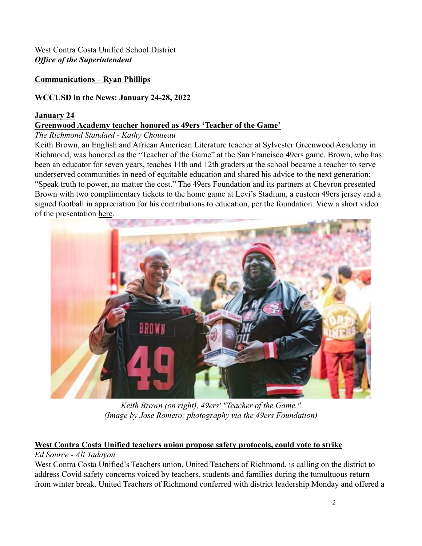#### **Communications – Ryan Phillips**

#### **WCCUSD in the News: January 24-28, 2022**

#### **January 24**

#### **[Greenwood Academy teacher honored as 49ers 'Teacher of the Game'](https://richmondstandard.com/richmond/2022/01/24/greenwood-academy-teacher-honored-as-49ers-teacher-of-the-game/)**

#### *The Richmond Standard - Kathy Chouteau*

Keith Brown, an English and African American Literature teacher at Sylvester Greenwood Academy in Richmond, was honored as the "Teacher of the Game" at the San Francisco 49ers game. Brown, who has been an educator for seven years, teaches 11th and 12th graders at the school became a teacher to serve underserved communities in need of equitable education and shared his advice to the next generation: "Speak truth to power, no matter the cost." The 49ers Foundation and its partners at Chevron presented Brown with two complimentary tickets to the home game at Levi's Stadium, a custom 49ers jersey and a signed football in appreciation for his contributions to education, per the foundation. View a short video of the presentation [here](https://www.youtube.com/watch?app=desktop&v=A2TTSyyisHc&feature=youtu.be).



*Keith Brown (on right), 49ers' "Teacher of the Game." (Image by Jose Romero; photography via the 49ers Foundation)*

# **[West Contra Costa Unified teachers union propose safety protocols, could vote to strike](https://edsource.org/updates/west-contra-costa-unified-teachers-union-propose-safety-protocols-could-vote-to-strike)**

### *Ed Source - Ali Tadayon*

West Contra Costa Unified's Teachers union, United Teachers of Richmond, is calling on the district to address Covid safety concerns voiced by teachers, students and families during the [tumultuous return](https://edsource.org/2022/california-schools-get-off-to-a-shaky-start-after-holiday-break/666032) from winter break. United Teachers of Richmond conferred with district leadership Monday and offered a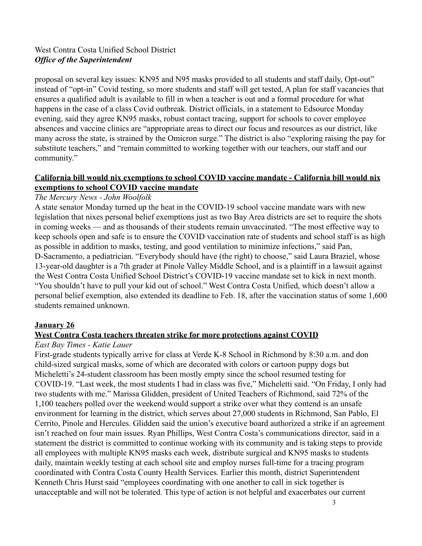proposal on several key issues: KN95 and N95 masks provided to all students and staff daily, Opt-out" instead of "opt-in" Covid testing, so more students and staff will get tested, A plan for staff vacancies that ensures a qualified adult is available to fill in when a teacher is out and a formal procedure for what happens in the case of a class Covid outbreak. District officials, in a statement to Edsource Monday evening, said they agree KN95 masks, robust contact tracing, support for schools to cover employee absences and vaccine clinics are "appropriate areas to direct our focus and resources as our district, like many across the state, is strained by the Omicron surge." The district is also "exploring raising the pay for substitute teachers," and "remain committed to working together with our teachers, our staff and our community."

#### **[California bill would nix exemptions to school COVID vaccine mandate - California bill would nix](https://www.mercurynews.com/2022/01/24/bill-would-nix-school-covid-vaccine-mandate-exemption/) [exemptions to school COVID vaccine mandate](https://www.mercurynews.com/2022/01/24/bill-would-nix-school-covid-vaccine-mandate-exemption/)**

#### *The Mercury News - John Woolfolk*

A state senator Monday turned up the heat in the COVID-19 school vaccine mandate wars with new legislation that nixes personal belief exemptions just as two Bay Area districts are set to require the shots in coming weeks — and as thousands of their students remain unvaccinated. "The most effective way to keep schools open and safe is to ensure the COVID vaccination rate of students and school staff is as high as possible in addition to masks, testing, and good ventilation to minimize infections," said Pan, D-Sacramento, a pediatrician. "Everybody should have (the right) to choose," said Laura Braziel, whose 13-year-old daughter is a 7th grader at Pinole Valley Middle School, and is a plaintiff in a lawsuit against the West Contra Costa Unified School District's COVID-19 vaccine mandate set to kick in next month. "You shouldn't have to pull your kid out of school." West Contra Costa Unified, which doesn't allow a personal belief exemption, also extended its deadline to Feb. 18, after the vaccination status of some 1,600 students remained unknown.

#### **January 26**

#### **[West Contra Costa teachers threaten strike for more protections against COVID](https://www.eastbaytimes.com/2022/01/26/west-contra-costa-teachers-threaten-strike-for-more-protections-against-covid/)**

#### *East Bay Times - Katie Lauer*

First-grade students typically arrive for class at Verde K-8 School in Richmond by 8:30 a.m. and don child-sized surgical masks, some of which are decorated with colors or cartoon puppy dogs but Micheletti's 24-student classroom has been mostly empty since the school resumed testing for COVID-19. "Last week, the most students I had in class was five," Micheletti said. "On Friday, I only had two students with me." Marissa Glidden, president of United Teachers of Richmond, said 72% of the 1,100 teachers polled over the weekend would support a strike over what they contend is an unsafe environment for learning in the district, which serves about 27,000 students in Richmond, San Pablo, El Cerrito, Pinole and Hercules. Glidden said the union's executive board authorized a strike if an agreement isn't reached on four main issues. Ryan Phillips, West Contra Costa's communications director, said in a statement the district is committed to continue working with its community and is taking steps to provide all employees with multiple KN95 masks each week, distribute surgical and KN95 masks to students daily, maintain weekly testing at each school site and employ nurses full-time for a tracing program coordinated with Contra Costa County Health Services. Earlier this month, district Superintendent Kenneth Chris Hurst said "employees coordinating with one another to call in sick together is unacceptable and will not be tolerated. This type of action is not helpful and exacerbates our current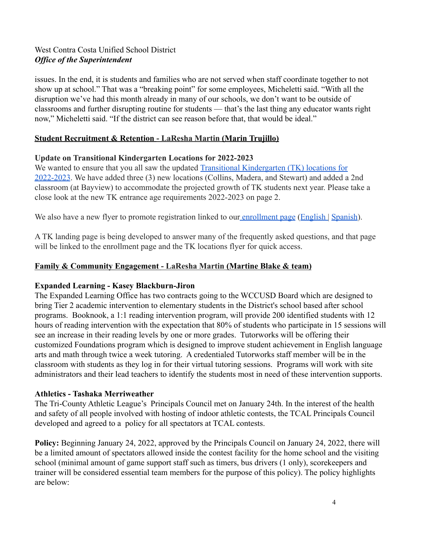issues. In the end, it is students and families who are not served when staff coordinate together to not show up at school." That was a "breaking point" for some employees, Micheletti said. "With all the disruption we've had this month already in many of our schools, we don't want to be outside of classrooms and further disrupting routine for students — that's the last thing any educator wants right now," Micheletti said. "If the district can see reason before that, that would be ideal."

### **Student Recruitment & Retention - LaResha Martin (Marin Trujillo)**

### **Update on Transitional Kindergarten Locations for 2022-2023**

We wanted to ensure that you all saw the updated Transitional Kindergarten *(TK)* locations for [2022-2023](https://docs.google.com/document/d/10XWxUIRaYMtabeAEisq776omrY_VOVJPTSFp7akerbg/edit). We have added three (3) new locations (Collins, Madera, and Stewart) and added a 2nd classroom (at Bayview) to accommodate the projected growth of TK students next year. Please take a close look at the new TK entrance age requirements 2022-2023 on page 2.

We also have a new flyer to promote registration linked to our [enrollment page](https://www.wccusd.net/Page/11736) ([English](https://www.wccusd.net/cms/lib/CA01001466/Centricity/domain/2594/registration%20documents/New%20Family%20Enrollment%2022-23%20Flyer_Eng_012422.pdf) | [Spanish](https://www.wccusd.net/cms/lib/CA01001466/Centricity/domain/2594/registration%20documents/New%20Family%20Enrollment%2022-23%20Flyer_Spn_012422.pdf)).

A TK landing page is being developed to answer many of the frequently asked questions, and that page will be linked to the enrollment page and the TK locations flyer for quick access.

## **Family & Community Engagement - LaResha Martin (Martine Blake & team)**

## **Expanded Learning - Kasey Blackburn-Jiron**

The Expanded Learning Office has two contracts going to the WCCUSD Board which are designed to bring Tier 2 academic intervention to elementary students in the District's school based after school programs. Booknook, a 1:1 reading intervention program, will provide 200 identified students with 12 hours of reading intervention with the expectation that 80% of students who participate in 15 sessions will see an increase in their reading levels by one or more grades. Tutorworks will be offering their customized Foundations program which is designed to improve student achievement in English language arts and math through twice a week tutoring. A credentialed Tutorworks staff member will be in the classroom with students as they log in for their virtual tutoring sessions. Programs will work with site administrators and their lead teachers to identify the students most in need of these intervention supports.

### **Athletics - Tashaka Merriweather**

The Tri-County Athletic League's Principals Council met on January 24th. In the interest of the health and safety of all people involved with hosting of indoor athletic contests, the TCAL Principals Council developed and agreed to a policy for all spectators at TCAL contests.

**Policy:** Beginning January 24, 2022, approved by the Principals Council on January 24, 2022, there will be a limited amount of spectators allowed inside the contest facility for the home school and the visiting school (minimal amount of game support staff such as timers, bus drivers (1 only), scorekeepers and trainer will be considered essential team members for the purpose of this policy). The policy highlights are below: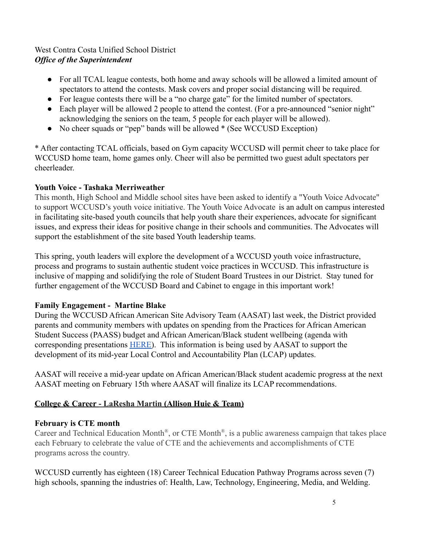- For all TCAL league contests, both home and away schools will be allowed a limited amount of spectators to attend the contests. Mask covers and proper social distancing will be required.
- For league contests there will be a "no charge gate" for the limited number of spectators.
- Each player will be allowed 2 people to attend the contest. (For a pre-announced "senior night" acknowledging the seniors on the team, 5 people for each player will be allowed).
- No cheer squads or "pep" bands will be allowed \* (See WCCUSD Exception)

\* After contacting TCAL officials, based on Gym capacity WCCUSD will permit cheer to take place for WCCUSD home team, home games only. Cheer will also be permitted two guest adult spectators per cheerleader.

### **Youth Voice - Tashaka Merriweather**

This month, High School and Middle school sites have been asked to identify a "Youth Voice Advocate" to support WCCUSD's youth voice initiative. The Youth Voice Advocate is an adult on campus interested in facilitating site-based youth councils that help youth share their experiences, advocate for significant issues, and express their ideas for positive change in their schools and communities. The Advocates will support the establishment of the site based Youth leadership teams.

This spring, youth leaders will explore the development of a WCCUSD youth voice infrastructure, process and programs to sustain authentic student voice practices in WCCUSD. This infrastructure is inclusive of mapping and solidifying the role of Student Board Trustees in our District. Stay tuned for further engagement of the WCCUSD Board and Cabinet to engage in this important work!

## **Family Engagement - Martine Blake**

During the WCCUSD African American Site Advisory Team (AASAT) last week, the District provided parents and community members with updates on spending from the Practices for African American Student Success (PAASS) budget and African American/Black student wellbeing (agenda with corresponding presentations [HERE\)](https://docs.google.com/document/d/1VHMIEKwsTycGCPeumaLozXwN4TQzXvjs/edit?usp=sharing&ouid=103671930196298725236&rtpof=true&sd=true). This information is being used by AASAT to support the development of its mid-year Local Control and Accountability Plan (LCAP) updates.

AASAT will receive a mid-year update on African American/Black student academic progress at the next AASAT meeting on February 15th where AASAT will finalize its LCAP recommendations.

## **College & Career - LaResha Martin (Allison Huie & Team)**

### **February is CTE month**

Career and Technical Education Month<sup>®</sup>, or CTE Month<sup>®</sup>, is a public awareness campaign that takes place each February to celebrate the value of CTE and the achievements and accomplishments of CTE programs across the country.

WCCUSD currently has eighteen (18) Career Technical Education Pathway Programs across seven (7) high schools, spanning the industries of: Health, Law, Technology, Engineering, Media, and Welding.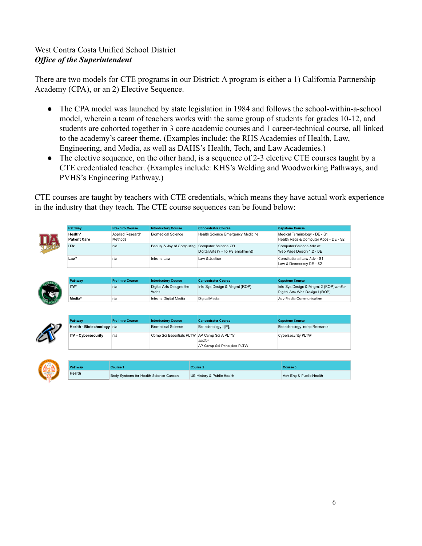There are two models for CTE programs in our District: A program is either a 1) California Partnership Academy (CPA), or an 2) Elective Sequence.

- The CPA model was launched by state legislation in 1984 and follows the school-within-a-school model, wherein a team of teachers works with the same group of students for grades 10-12, and students are cohorted together in 3 core academic courses and 1 career-technical course, all linked to the academy's career theme. (Examples include: the RHS Academies of Health, Law, Engineering, and Media, as well as DAHS's Health, Tech, and Law Academies.)
- The elective sequence, on the other hand, is a sequence of 2-3 elective CTE courses taught by a CTE credentialed teacher. (Examples include: KHS's Welding and Woodworking Pathways, and PVHS's Engineering Pathway.)

CTE courses are taught by teachers with CTE credentials, which means they have actual work experience in the industry that they teach. The CTE course sequences can be found below:

| Pathway                                           | <b>Pre-Intro Course</b>     | <b>Introductory Course</b>                  | <b>Concentrator Course</b>                                 |  | <b>Capstone Course</b>                                                    |  |  |
|---------------------------------------------------|-----------------------------|---------------------------------------------|------------------------------------------------------------|--|---------------------------------------------------------------------------|--|--|
| Health*<br><b>Patient Care</b>                    | Applied Research<br>Methods | <b>Biomedical Science</b>                   | Health Science Emergency Medicine                          |  | Medical Terminology - DE - S1<br>Health Recs & Computer Apps - DE - S2    |  |  |
| ITA*                                              | n/a                         | Beauty & Joy of Computing                   | Computer Science OR<br>Digital Arts (? - no PS enrollment) |  | Computer Science Adv or<br>Web Page Design 1.2 - DE                       |  |  |
| $Law*$                                            | n/a                         | Intro to Law                                | Law & Justice                                              |  | Constitutional Law Adv - S1<br>Law & Democracy DE - S2                    |  |  |
|                                                   |                             |                                             |                                                            |  |                                                                           |  |  |
| Pathway                                           | <b>Pre-Intro Course</b>     | <b>Introductory Course</b>                  | <b>Concentrator Course</b>                                 |  | <b>Capstone Course</b>                                                    |  |  |
| ITA*                                              | n/a                         | Digital Arts Designs the<br>Web1            | Info Sys Design & Mngmt (ROP)                              |  | Info Sys Design & Mngmt 2 (ROP) and/or<br>Digital Arts Web Design I (ROP) |  |  |
|                                                   |                             |                                             |                                                            |  |                                                                           |  |  |
| Media*                                            | n/a                         | Intro to Digital Media                      | Digital Media                                              |  | Adv Media Communication                                                   |  |  |
| Pathway                                           | <b>Pre-Intro Course</b>     | <b>Introductory Course</b>                  | <b>Concentrator Course</b>                                 |  | <b>Capstone Course</b>                                                    |  |  |
|                                                   |                             | <b>Biomedical Science</b>                   | Biotechnology I [P].                                       |  | Biotechnology Indep Research                                              |  |  |
| Health - Biotechnology n/a<br>ITA - Cybersecurity | n/a                         | Comp Sci Essentials PLTW AP Comp Sci A PLTW | and/or<br>AP Comp Sci Principles PLTW                      |  | <b>Cybersecurity PLTW</b>                                                 |  |  |
|                                                   |                             |                                             |                                                            |  |                                                                           |  |  |
| Pathway                                           | Course 1                    |                                             | Course 2                                                   |  | Course 3                                                                  |  |  |